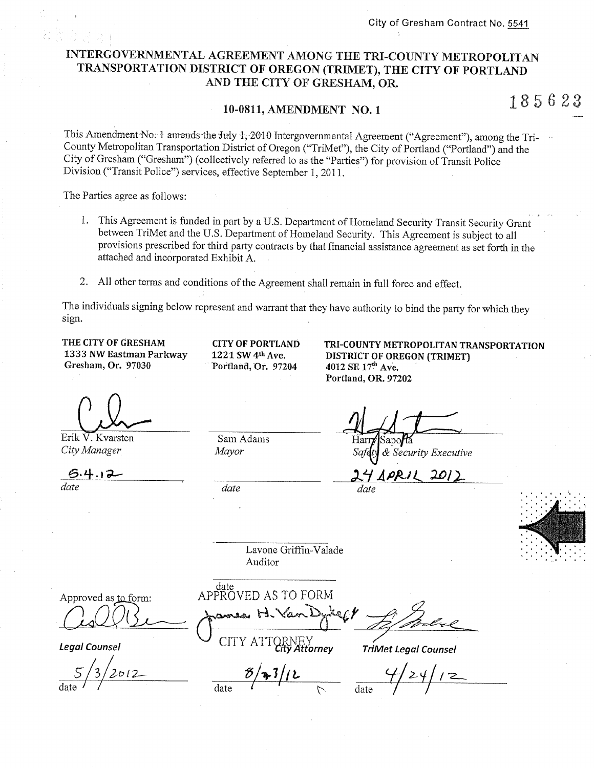# INTERGOVERNMENTAL AGREEMENT AMONG THE TRI-COUNTY METROPOLITAN TRANSPORTATION DISTRICT OF OREGON (TRIMET), THE CITY OF PORTLAND AND THE CITY OF GRESHAM, OR.

### 10-0811, AMENDMENT NO. 1

185623

This Amendment No. 1 amends the July 1, 2010 Intergovernmental Agreement ("Agreement"), among the Tri-County Metropolitan Transportation District of Oregon ("TriMet"), the City of Portland ("Portland") and the City of Gresham ("Gresham") (collectively referred to as the "Parties") for provision of Transit Police Division ("Transit Police") services, effective September 1, 2011.

The Parties agree as follows:

- 1. This Agreement is funded in part by a U.S. Department of Homeland Security Transit Security Grant between TriMet and the U.S. Department of Homeland Security. This Agreement is subject to all provisions prescribed for third party contracts by that financial assistance agreement as set forth in the attached and incorporated Exhibit A.
- 2. All other terms and conditions of the Agreement shall remain in full force and effect.

The individuals signing below represent and warrant that they have authority to bind the party for which they sign.

THE CITY OF GRESHAM 1333 NW Eastman Parkway Gresham, Or. 97030

**CITY OF PORTLAND** 1221 SW 4th Ave. Portland, Or. 97204

TRI-COUNTY METROPOLITAN TRANSPORTATION **DISTRICT OF OREGON (TRIMET)** 4012 SE 17th Ave. Portland, OR. 97202

Erik V. Kvarsten City Manager

date

Sam Adams Mayor

date

date

& Security Executive

2012

date

Lavone Griffin-Valade Auditor

Approved as to form:

**Leaal Counsel** 

CITY ATTORNEY

 $\frac{8}{4}$   $\frac{3}{12}$ 

date<br>APPROVED AS TO FORM

**TriMet Legal Counsel**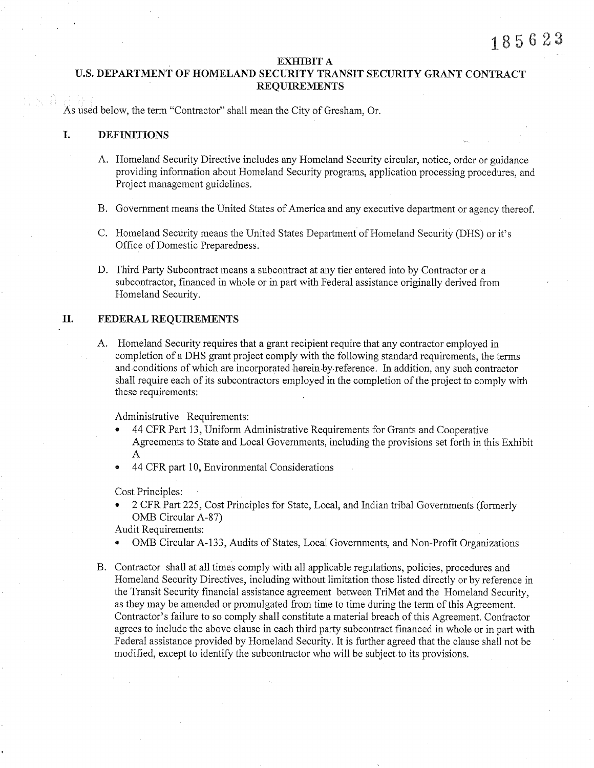### EXHIBIT A

# U.S. DEPARTMENT OF HOMELAND SECURITY TRANSIT SECURITY GRANT CONTRACT REQUIREMENTS

As used below, the term "Contractor" shall mean the City of Gresham, Or,

# I. DEFINITIONS

- A. Homeland Security Directive includes any Homeland Security circular, notice, order or guidance providing information about Homeland Security programs, application processing procedures, and Project management guidelines,
- B. Government means the United States of America and any executive department or agency thereof.
- C. Flomeland Security means the United States Department of Ifomeland Security (DHS) or it's Office of Domestic Preparedness.
- D. Third Party Subcontract means a subcontract at any tier entered into by Contractor or a subcontractor, financed in whole or in part with Federal assistance originally derived from Homeland Security.

# II. FEDERAL REQUIREMENTS

A. Homeland Security requires that a grant recipient require that any contractor employed in completion of a DHS grant project comply with the following standard requirements, the terms and conditions of which are incorporated herein by reference. In addition, any such contractor shall require each of its subcontractors employed in the completion of the project to comply with these requirements:

Administrative Requirements:

- 44 CFR Part 13, Uniform Administrative Requirements for Grants and Cooperative Agreements to State and Local Governments, including the provisions set forth in this Exhibit A
- 44 CFR part 10, Environmental Considerations "

Cost Principles:

2 CFR Part 225, Cost Principles for State, Local, and Indian tribal Governments (formerly OMB Circular A-87)

Audit Requirements:

- OMB Circular A-133, Audits of States, Local Governments, and Non-Profit Organizations
- B. Contractor shall at all times comply with all applicable regulations, policies, procedures and Homeland Security Directives, including without limitation those listed directly or by reference in the Transit Security financial assistance agreement between TriMet and the Homeland Security, as they may be amended or promulgated from time to time during the term of this Agreement. Contractor's failure to so comply shall constitute a material breach of this Agreement. Contractor agrees to include the above clause in each third party subcontract financed in whole or in part with Federal assistance provided by Homeland Security. It is further agreed that the clause shall not be modified, except to identify the subcontractor who will be subject to its provisions.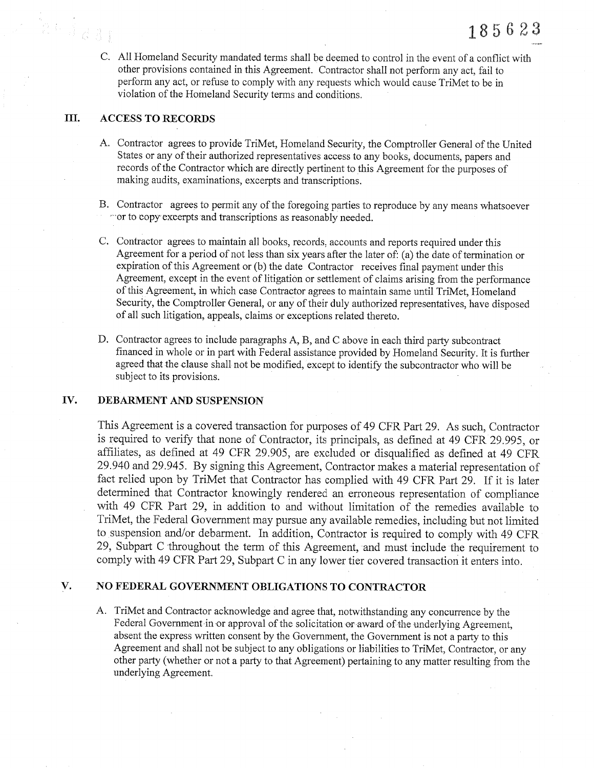C. All Homeland Security mandated terms shall be deemed to control in the event of a conflict with other provisions contained in this Agreement. Contractor shall not perform any act, fail to perform any act, or refuse to comply with any requests which would cause TriMet to be in violation of the Homeland Security terms and conditions.

#### III. ACCESS TO RECORDS

- A. Contractor agrees to provide TriMet, Homeland Security, the Comptroller General of the United States or any of their authorized representatives access to any books, documents, papers and records of the Contractor which are directly pertinent to this Agreement for the purposes of making audits, examinations, excerpts and transcriptions.
- B. Contractor agrees to permit any of the foregoing parties to reproduce by any means whatsoever ' 'or to copy exoerpts and transcriptions as reasonably needed.
- C. Contractor agrees to maintain all books, records, accounts and reports required under this Agreement for a period of not less than six years after the later of: (a) the date of termination or expiration of this Agreement or (b) the date Contractor receives final payment under this Agreement, except in the event of litigation or settlement of claims arising from the performance of this Agreement, in which case Contractor agrees to maintain same until TriMet, Homeland Security, the Comptroller General, or any of their duly authorized representatives, have disposed of all such litigation, appeals, claims or exceptions related thereto.
- D. Contractor agrees to include paragraphs  $A$ ,  $B$ , and  $C$  above in each third party subcontract financed in whole or in part with Federal assistance provided by Homeland Security. It is further agreed that the clause shall not be modified, except to identify the subcontractor who will be subject to its provisions.

#### fv. DEBARMENT AND SUSPENSION

This Agreement is a covered transaction for purposes of 49 CFR Part 29. As such, Contractor is required to verify that none of Contractor, its principals, as defined at 49 CFR 29.995, or affiliates, as defined at 49 CFR 29.905, are excluded or disqualified as defined at 49 CFR 29.940 and29.945. By signing this Agreement, Contractor makes a material representation of fact relied upon by TriMet that Contractor has complied with 49 CFR Part 29. If it is later determined that Contractor knowingly rendered an erroneous representation of compliance with 49 CFR Part 29, in addition to and without limitation of the remedies available to TriMet, the Federal Government may pursue any available remedies, including but not limited to suspension and/or debarment. In addition, Contractor is required to comply with 49 CFR 29, Subpart C throughout the term of this Agreement, and must include the requirement to comply with 49 CFR Part 29, Subpart C in any lower tier covered transaction it enters into.

#### V. NO FEDERAL GOVERNMENT OBLIGATIONS TO CONTRACTOR

A. TriMet and Contractor acknowledge and agree that, notwithstanding any concurrence by the Federal Government in or approval of the solicitation or award of the underlying Agreement, absent the express written consent by the Government, the Government is not a parly to this Agreement and shall not be subject to any obligations or liabilities to TriMet, Contractor, or any other party (whether or not a party to that Agreement) pertaining to any matter resulting from the underlying Agreement.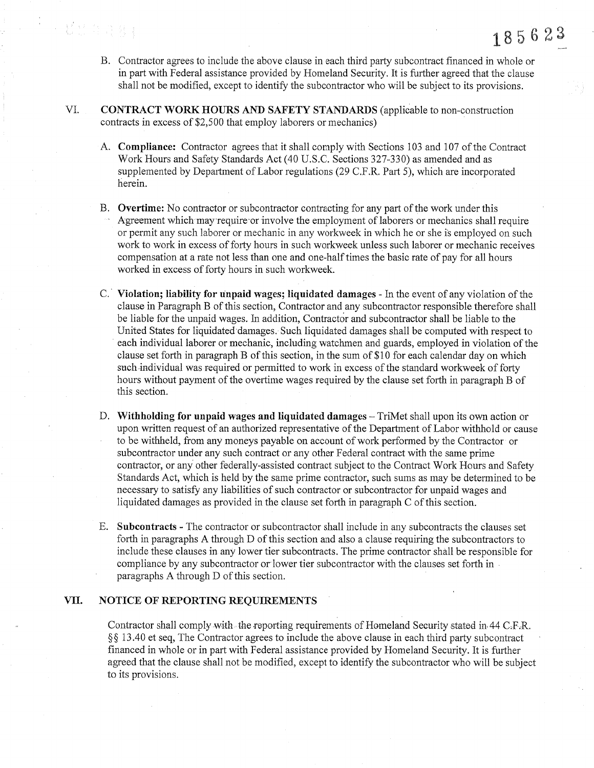B. Contractor agrees to include the above clause in each third party subcontract fìnanced in whole or in part with Federal assistance provided by Homeland Security. It is further agreed that the clause shall not be modified, except to identify the subcontractor who will be subject to its provisions.

185623

- VI. CONTRACT WORK HOURS AND SAFETY STANDARDS (applicable to non-construction contracts in excess of \$2,500 that employ laborers or mechanics)
	- A. Compliance: Contractor agrees that it shall comply with Sections 103 and 107 of the Contract Work Hours and Safety Standards Act (40 U.S.C. Sections 327-330) as amended and as supplemented by Department of Labor regulations (29 C.F.R, Part 5), which are incorporated herein.
	- B. Overtime: No contractor or subcontractor contracting for any part of the work under this Agreement which may require or involve the employment of laborers or mechanics shall require or permit any such laborer or mechanic in any workweek in which he or she is employed on such work to work in excess of forty hours in such workweek unless such laborer or mechanic receives compensation at a rate not less than one and one-half times the basic rate of pay for all hours worked in excess of forfy hours in such workweek.
	- C. Violation; liability for unpaid wages; liquidated damages In the event of any violation of the clause in Paragraph B of this section, Contractor and any subcontractor responsible therefore shall be liable for the unpaid wages. ln addition, Contractor and subcontractor shall be liable to the United States for liquidated damages. Such liquidated damages shall be computed with respect to each individual laborer or mechanic, including watchmen and guards, employed in violation of the clause set forth in paragraph B of this section, in the sum of  $$10$  for each calendar day on which such individual was required or permitted to work in excess of the standard workweek of forty hours without payment of the overtime wages required by the clause set forth in paragraph B of this section.
	- D. Withholding for unpaid wages and liquidated damages TriMet shall upon its own action or upon written request of an authorized representative of the Department of Labor withhold or cause to be withheld, from any moneys payable on account of work performed by the Contractor or subcontractor under any such contract or any other Federal contract with the same prime contractor, or any other federally-assisted contract subject to the Contract Work Hours and Safety Standards Act, which is held by the same prime contractor, such sums as may be determined to be necessary to satisfy any liabilities of such contractor or subcontractor for unpaid wages and liquidated damages as provided in the clause set forth in paragraph C of this section.
	- E. Subcontracts The contractor or subcontractor shall include in any subcontracts the clauses set forth in paragraphs A through D of this section and also a clause requiring the subcontractors to include these clauses in any lower tier subcontracts. The prime contractor shall be responsible for compliance by any subcontractor orlower tier subcontractor with the clauses set forth in paragraphs A through D of this section.

# VII. NOTICE OF REPORTING REQUIREMENTS

· 夏日 清森

Contractor shall comply with the reporting requirements of Homeland Security stated in 44 C,F.R.  $\S$ § 13.40 et seq, The Contractor agrees to include the above clause in each third party subcontract financed in whole or in part with Federal assistance provided by Homeland Security. It is further ageed that the clause shall not be modified, except to identify the subcontractor who will be subject to its provisions.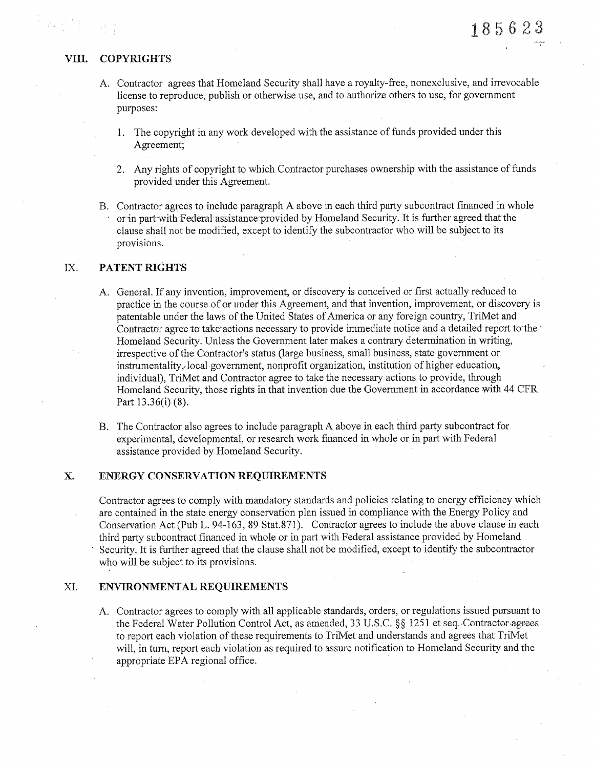**No.** (2)

- A. Contractor agrees that Homeland Security shall have a royalty-free, nonexclusive, and irrevocable license to reproduce, publish or otherwise use, and to authorize others to use, for government purposes:
	- 1. The copyright in any work developed with the assistance of funds provided under this Agreement;
	- 2. Any rights of copyright to which Contractor purchases ownership with the assistance of funds provided under this Agreement.
- B. Contractor agrees to include paragraph A above in each third party subcontract financed in whole or in part with Federal assistance provided by Homeland Security. It is further agreed that the clause shall not be modified, except to identify the subcontractor who will be subject to its provisions.

### Ix. PATENT RIGHTS

- A. General. If any invention, improvement, or discovery is conceived or first actually reduced to practice in the course of or under this Agreement, and that invention, improvement, or discovery is patentable under the laws of the United States of America or any foreign country, TriMet and Contractor agree to take actions necessary to provide immediate notice and a detailed report to the Homeland Security. Unless the Government later makes a contrary determination in writing, irrespective of the Contractor's status (large business, small business, state government or instrumentality, local government, nonprofit organization, institution of higher education, individual), TriMet and Contractor agree to take the necessary actions to provide, through Homeland Security, those rights in that invention due the Government in accordance with 44 CFR Part  $13.36(i)$  (8).
- B. The Contractor also agrees to include paragraph A above in each third party subcontract for experimental, developmental, or research work financed in whole or in part with Federal assistance provided by Horneland Security.

# X. ENERGY CONSERVATION REQUIREMENTS

Contractor agrees to comply with mandatory standards and policies relating to energy efficiency which are contained in the state energy conservation plan issued in compliance with the Energy Policy and Conservation Act (Pub L. 94-163, 89 Stat.871). Contractor agrees to include the above clause in each third party subcontract financed in whole or in part with Federal assistance provided by Homeland Security. It is further agreed that the clause shall not be modified, except to identify the subcontractor who will be subject to its provisions.

### XI. ENVIRONMENTAL REQUIREMENTS

A. Contractor agrees to comply with all applicable standards, orders, or regulations issued pursuant to the Federal Water Pollution Control Act, as amended, 33 U.S.C. §§ 1251 et seq. Contractor agrees to report each violation of these requirements to TriMet and understands and agrees that TriMet will, in turn, report each violation as required to assure notification to Homeland Security and the appropriate EPA regional office.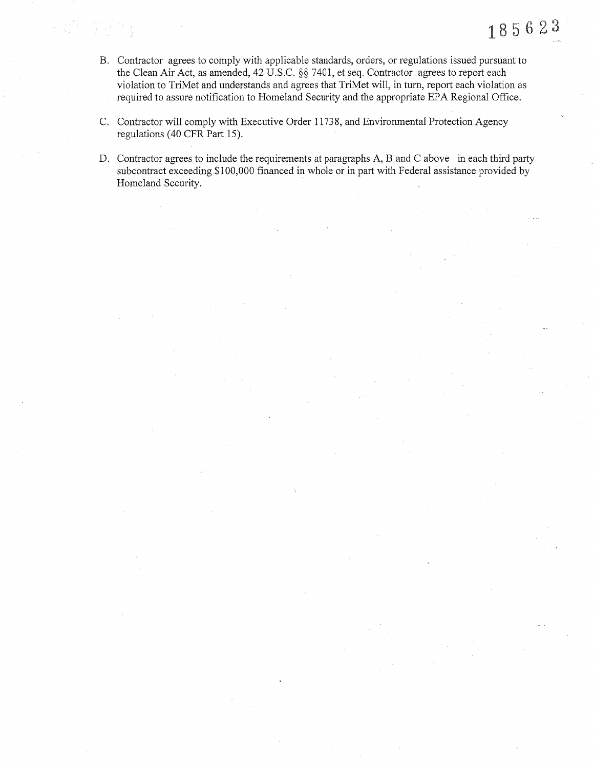- B. Contractor agrees to comply with applicable standards, orders, or regulations issued pursuant to the Clean Air Act, as amended, 42 U.S.C. §§ 7401, et seq. Contractor agrees to report each violation to TriMet and understands and agrees that TriMet will, in turn, report each violation as required to assure notification to Homeland Security and the appropriate EPA Regional Office.
- C. Contractor will comply with Executive Order 11738, and Environmental Protection Agency regulations (40 CFR Part 15).

医复数成分

D. Contractor agrees to include the requirements at paragraphs A, B and C above in each third party subcontract exceeding \$100,000 financed in whole or in part with Federal assistance provided by Homeland Security.